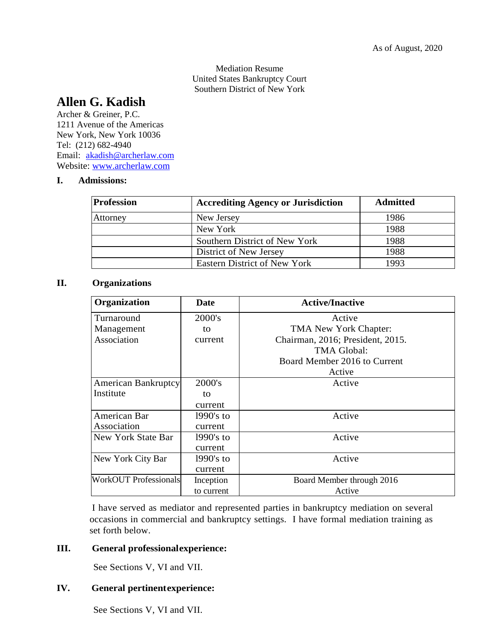Mediation Resume United States Bankruptcy Court Southern District of New York

# **Allen G. Kadish**

Archer & Greiner, P.C. 1211 Avenue of the Americas New York, New York 10036 Tel: (212) 682-4940 Email: [akadish@archerlaw.com](mailto:akadish@archerlaw.com) Website: [www.archerlaw.com](http://www.archerlaw.com/)

#### **I. Admissions:**

| <b>Profession</b> | <b>Accrediting Agency or Jurisdiction</b> | <b>Admitted</b> |  |
|-------------------|-------------------------------------------|-----------------|--|
| Attorney          | New Jersey                                | 1986            |  |
|                   | New York                                  | 1988            |  |
|                   | Southern District of New York             | 1988            |  |
|                   | District of New Jersey                    | 1988            |  |
|                   | Eastern District of New York              | 1993            |  |

### **II. Organizations**

| Organization                 | Date         | <b>Active/Inactive</b>           |
|------------------------------|--------------|----------------------------------|
| Turnaround                   | 2000's       | Active                           |
| Management                   | to           | TMA New York Chapter:            |
| Association                  | current      | Chairman, 2016; President, 2015. |
|                              |              | <b>TMA Global:</b>               |
|                              |              | Board Member 2016 to Current     |
|                              |              | Active                           |
| <b>American Bankruptcy</b>   | 2000's       | Active                           |
| Institute                    | to           |                                  |
|                              | current      |                                  |
| American Bar                 | $1990$ 's to | Active                           |
| Association                  | current      |                                  |
| New York State Bar           | $1990$ 's to | Active                           |
|                              | current      |                                  |
| New York City Bar            | 1990's to    | Active                           |
|                              | current      |                                  |
| <b>WorkOUT</b> Professionals | Inception    | Board Member through 2016        |
|                              | to current   | Active                           |

I have served as mediator and represented parties in bankruptcy mediation on several occasions in commercial and bankruptcy settings. I have formal mediation training as set forth below.

## **III. General professionalexperience:**

See Sections V, VI and VII.

## **IV. General pertinentexperience:**

See Sections V, VI and VII.